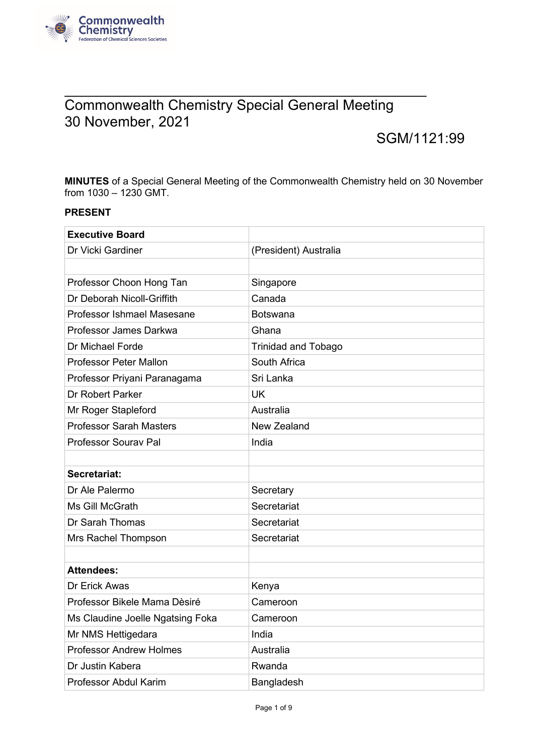

## **\_\_\_\_\_\_\_\_\_\_\_\_\_\_\_\_\_\_\_\_\_\_\_\_\_\_\_\_\_\_\_\_\_\_\_\_\_\_\_\_\_\_\_\_\_\_\_\_\_\_\_\_\_\_\_\_\_\_\_\_\_\_\_\_\_\_** Commonwealth Chemistry Special General Meeting 30 November, 2021

# SGM/1121:99

**MINUTES** of a Special General Meeting of the Commonwealth Chemistry held on 30 November from 1030 – 1230 GMT.

#### **PRESENT**

| <b>Executive Board</b>           |                            |
|----------------------------------|----------------------------|
| Dr Vicki Gardiner                | (President) Australia      |
|                                  |                            |
| Professor Choon Hong Tan         | Singapore                  |
| Dr Deborah Nicoll-Griffith       | Canada                     |
| Professor Ishmael Masesane       | <b>Botswana</b>            |
| Professor James Darkwa           | Ghana                      |
| Dr Michael Forde                 | <b>Trinidad and Tobago</b> |
| <b>Professor Peter Mallon</b>    | South Africa               |
| Professor Priyani Paranagama     | Sri Lanka                  |
| Dr Robert Parker                 | <b>UK</b>                  |
| Mr Roger Stapleford              | Australia                  |
| <b>Professor Sarah Masters</b>   | New Zealand                |
| <b>Professor Sourav Pal</b>      | India                      |
|                                  |                            |
| Secretariat:                     |                            |
| Dr Ale Palermo                   | Secretary                  |
| Ms Gill McGrath                  | Secretariat                |
| Dr Sarah Thomas                  | Secretariat                |
| Mrs Rachel Thompson              | Secretariat                |
|                                  |                            |
| <b>Attendees:</b>                |                            |
| Dr Erick Awas                    | Kenya                      |
| Professor Bikele Mama Dèsiré     | Cameroon                   |
| Ms Claudine Joelle Ngatsing Foka | Cameroon                   |
| Mr NMS Hettigedara               | India                      |
| <b>Professor Andrew Holmes</b>   | Australia                  |
| Dr Justin Kabera                 | Rwanda                     |
| Professor Abdul Karim            | Bangladesh                 |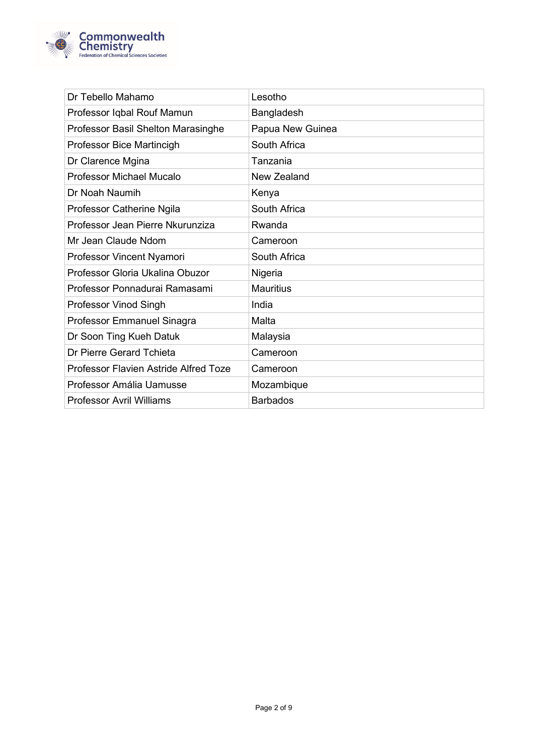

| Dr Tebello Mahamo                            | Lesotho          |
|----------------------------------------------|------------------|
| Professor Iqbal Rouf Mamun                   | Bangladesh       |
| Professor Basil Shelton Marasinghe           | Papua New Guinea |
| Professor Bice Martincigh                    | South Africa     |
| Dr Clarence Mgina                            | Tanzania         |
| <b>Professor Michael Mucalo</b>              | New Zealand      |
| Dr Noah Naumih                               | Kenya            |
| Professor Catherine Ngila                    | South Africa     |
| Professor Jean Pierre Nkurunziza             | Rwanda           |
| Mr Jean Claude Ndom                          | Cameroon         |
| Professor Vincent Nyamori                    | South Africa     |
| Professor Gloria Ukalina Obuzor              | Nigeria          |
| Professor Ponnadurai Ramasami                | <b>Mauritius</b> |
| <b>Professor Vinod Singh</b>                 | India            |
| Professor Emmanuel Sinagra                   | Malta            |
| Dr Soon Ting Kueh Datuk                      | Malaysia         |
| Dr Pierre Gerard Tchieta                     | Cameroon         |
| <b>Professor Flavien Astride Alfred Toze</b> | Cameroon         |
| Professor Amália Uamusse                     | Mozambique       |
| <b>Professor Avril Williams</b>              | <b>Barbados</b>  |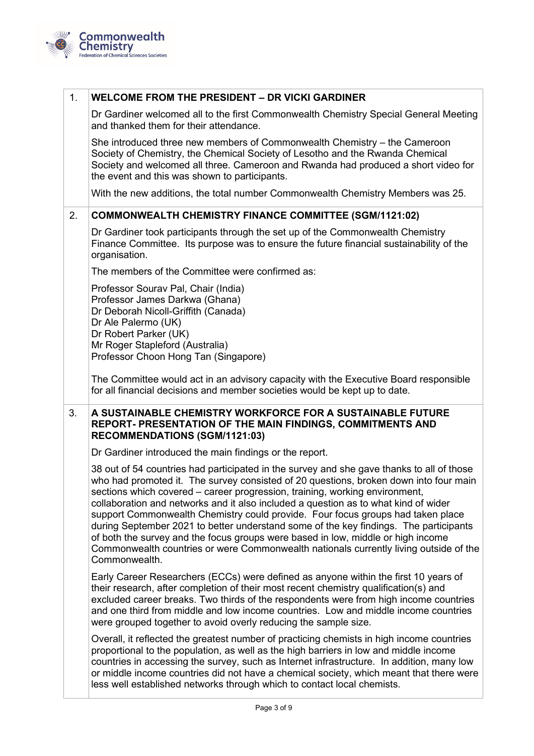

## 1. **WELCOME FROM THE PRESIDENT – DR VICKI GARDINER** Dr Gardiner welcomed all to the first Commonwealth Chemistry Special General Meeting and thanked them for their attendance.

She introduced three new members of Commonwealth Chemistry – the Cameroon Society of Chemistry, the Chemical Society of Lesotho and the Rwanda Chemical Society and welcomed all three. Cameroon and Rwanda had produced a short video for the event and this was shown to participants.

With the new additions, the total number Commonwealth Chemistry Members was 25.

## 2. **COMMONWEALTH CHEMISTRY FINANCE COMMITTEE (SGM/1121:02)**

Dr Gardiner took participants through the set up of the Commonwealth Chemistry Finance Committee. Its purpose was to ensure the future financial sustainability of the organisation.

The members of the Committee were confirmed as:

Professor Sourav Pal, Chair (India) Professor James Darkwa (Ghana) Dr Deborah Nicoll-Griffith (Canada) Dr Ale Palermo (UK) Dr Robert Parker (UK) Mr Roger Stapleford (Australia) Professor Choon Hong Tan (Singapore)

The Committee would act in an advisory capacity with the Executive Board responsible for all financial decisions and member societies would be kept up to date.

#### 3. **A SUSTAINABLE CHEMISTRY WORKFORCE FOR A SUSTAINABLE FUTURE REPORT- PRESENTATION OF THE MAIN FINDINGS, COMMITMENTS AND RECOMMENDATIONS (SGM/1121:03)**

Dr Gardiner introduced the main findings or the report.

38 out of 54 countries had participated in the survey and she gave thanks to all of those who had promoted it. The survey consisted of 20 questions, broken down into four main sections which covered – career progression, training, working environment, collaboration and networks and it also included a question as to what kind of wider support Commonwealth Chemistry could provide. Four focus groups had taken place during September 2021 to better understand some of the key findings. The participants of both the survey and the focus groups were based in low, middle or high income Commonwealth countries or were Commonwealth nationals currently living outside of the Commonwealth.

Early Career Researchers (ECCs) were defined as anyone within the first 10 years of their research, after completion of their most recent chemistry qualification(s) and excluded career breaks. Two thirds of the respondents were from high income countries and one third from middle and low income countries. Low and middle income countries were grouped together to avoid overly reducing the sample size.

Overall, it reflected the greatest number of practicing chemists in high income countries proportional to the population, as well as the high barriers in low and middle income countries in accessing the survey, such as Internet infrastructure. In addition, many low or middle income countries did not have a chemical society, which meant that there were less well established networks through which to contact local chemists.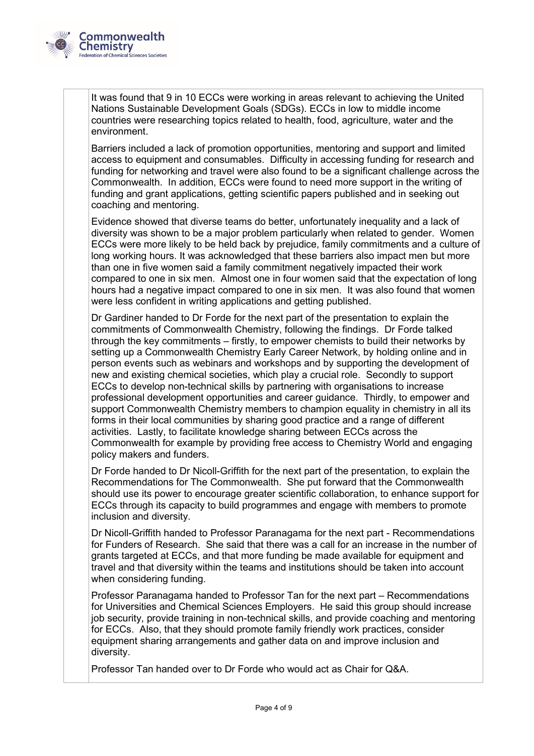

It was found that 9 in 10 ECCs were working in areas relevant to achieving the United Nations Sustainable Development Goals (SDGs). ECCs in low to middle income countries were researching topics related to health, food, agriculture, water and the environment.

Barriers included a lack of promotion opportunities, mentoring and support and limited access to equipment and consumables. Difficulty in accessing funding for research and funding for networking and travel were also found to be a significant challenge across the Commonwealth. In addition, ECCs were found to need more support in the writing of funding and grant applications, getting scientific papers published and in seeking out coaching and mentoring.

Evidence showed that diverse teams do better, unfortunately inequality and a lack of diversity was shown to be a major problem particularly when related to gender. Women ECCs were more likely to be held back by prejudice, family commitments and a culture of long working hours. It was acknowledged that these barriers also impact men but more than one in five women said a family commitment negatively impacted their work compared to one in six men. Almost one in four women said that the expectation of long hours had a negative impact compared to one in six men. It was also found that women were less confident in writing applications and getting published.

Dr Gardiner handed to Dr Forde for the next part of the presentation to explain the commitments of Commonwealth Chemistry, following the findings. Dr Forde talked through the key commitments – firstly, to empower chemists to build their networks by setting up a Commonwealth Chemistry Early Career Network, by holding online and in person events such as webinars and workshops and by supporting the development of new and existing chemical societies, which play a crucial role. Secondly to support ECCs to develop non-technical skills by partnering with organisations to increase professional development opportunities and career guidance. Thirdly, to empower and support Commonwealth Chemistry members to champion equality in chemistry in all its forms in their local communities by sharing good practice and a range of different activities. Lastly, to facilitate knowledge sharing between ECCs across the Commonwealth for example by providing free access to Chemistry World and engaging policy makers and funders.

Dr Forde handed to Dr Nicoll-Griffith for the next part of the presentation, to explain the Recommendations for The Commonwealth. She put forward that the Commonwealth should use its power to encourage greater scientific collaboration, to enhance support for ECCs through its capacity to build programmes and engage with members to promote inclusion and diversity.

Dr Nicoll-Griffith handed to Professor Paranagama for the next part - Recommendations for Funders of Research. She said that there was a call for an increase in the number of grants targeted at ECCs, and that more funding be made available for equipment and travel and that diversity within the teams and institutions should be taken into account when considering funding.

Professor Paranagama handed to Professor Tan for the next part – Recommendations for Universities and Chemical Sciences Employers. He said this group should increase job security, provide training in non-technical skills, and provide coaching and mentoring for ECCs. Also, that they should promote family friendly work practices, consider equipment sharing arrangements and gather data on and improve inclusion and diversity.

Professor Tan handed over to Dr Forde who would act as Chair for Q&A.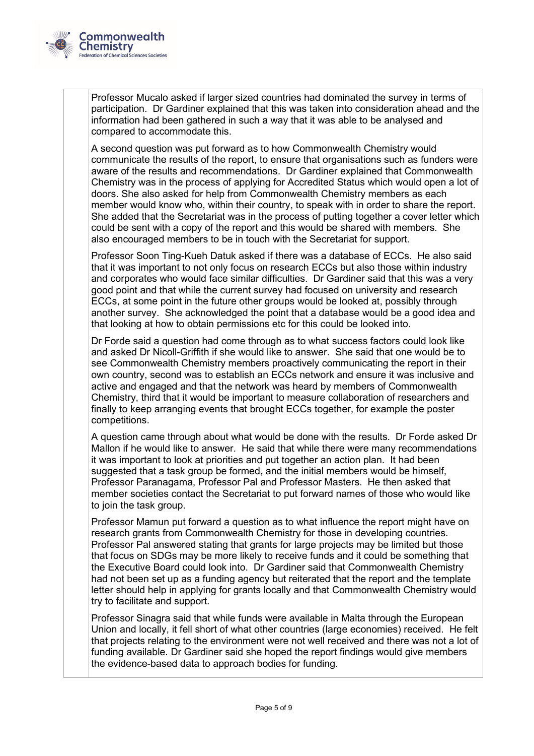

Professor Mucalo asked if larger sized countries had dominated the survey in terms of participation. Dr Gardiner explained that this was taken into consideration ahead and the information had been gathered in such a way that it was able to be analysed and compared to accommodate this.

A second question was put forward as to how Commonwealth Chemistry would communicate the results of the report, to ensure that organisations such as funders were aware of the results and recommendations. Dr Gardiner explained that Commonwealth Chemistry was in the process of applying for Accredited Status which would open a lot of doors. She also asked for help from Commonwealth Chemistry members as each member would know who, within their country, to speak with in order to share the report. She added that the Secretariat was in the process of putting together a cover letter which could be sent with a copy of the report and this would be shared with members. She also encouraged members to be in touch with the Secretariat for support.

Professor Soon Ting-Kueh Datuk asked if there was a database of ECCs. He also said that it was important to not only focus on research ECCs but also those within industry and corporates who would face similar difficulties. Dr Gardiner said that this was a very good point and that while the current survey had focused on university and research ECCs, at some point in the future other groups would be looked at, possibly through another survey. She acknowledged the point that a database would be a good idea and that looking at how to obtain permissions etc for this could be looked into.

Dr Forde said a question had come through as to what success factors could look like and asked Dr Nicoll-Griffith if she would like to answer. She said that one would be to see Commonwealth Chemistry members proactively communicating the report in their own country, second was to establish an ECCs network and ensure it was inclusive and active and engaged and that the network was heard by members of Commonwealth Chemistry, third that it would be important to measure collaboration of researchers and finally to keep arranging events that brought ECCs together, for example the poster competitions.

A question came through about what would be done with the results. Dr Forde asked Dr Mallon if he would like to answer. He said that while there were many recommendations it was important to look at priorities and put together an action plan. It had been suggested that a task group be formed, and the initial members would be himself, Professor Paranagama, Professor Pal and Professor Masters. He then asked that member societies contact the Secretariat to put forward names of those who would like to join the task group.

Professor Mamun put forward a question as to what influence the report might have on research grants from Commonwealth Chemistry for those in developing countries. Professor Pal answered stating that grants for large projects may be limited but those that focus on SDGs may be more likely to receive funds and it could be something that the Executive Board could look into. Dr Gardiner said that Commonwealth Chemistry had not been set up as a funding agency but reiterated that the report and the template letter should help in applying for grants locally and that Commonwealth Chemistry would try to facilitate and support.

Professor Sinagra said that while funds were available in Malta through the European Union and locally, it fell short of what other countries (large economies) received. He felt that projects relating to the environment were not well received and there was not a lot of funding available. Dr Gardiner said she hoped the report findings would give members the evidence-based data to approach bodies for funding.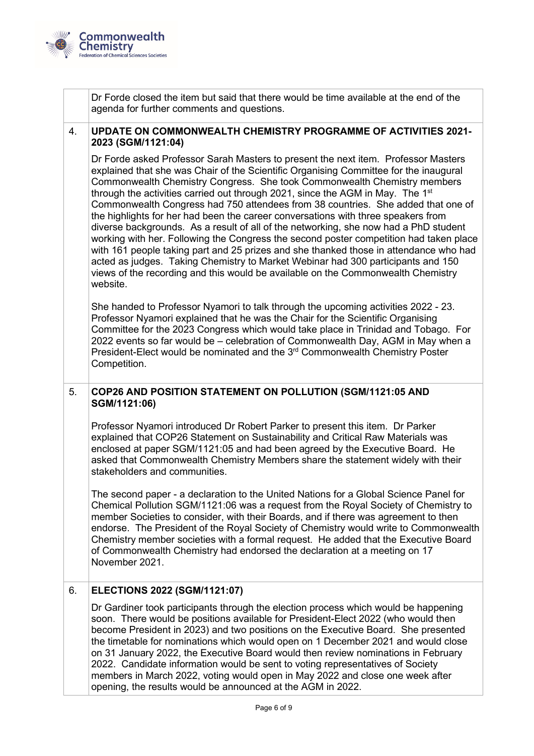

Dr Forde closed the item but said that there would be time available at the end of the agenda for further comments and questions.

#### 4. **UPDATE ON COMMONWEALTH CHEMISTRY PROGRAMME OF ACTIVITIES 2021- 2023 (SGM/1121:04)**

Dr Forde asked Professor Sarah Masters to present the next item. Professor Masters explained that she was Chair of the Scientific Organising Committee for the inaugural Commonwealth Chemistry Congress. She took Commonwealth Chemistry members through the activities carried out through 2021, since the AGM in May. The 1<sup>st</sup> Commonwealth Congress had 750 attendees from 38 countries. She added that one of the highlights for her had been the career conversations with three speakers from diverse backgrounds. As a result of all of the networking, she now had a PhD student working with her. Following the Congress the second poster competition had taken place with 161 people taking part and 25 prizes and she thanked those in attendance who had acted as judges. Taking Chemistry to Market Webinar had 300 participants and 150 views of the recording and this would be available on the Commonwealth Chemistry website.

She handed to Professor Nyamori to talk through the upcoming activities 2022 - 23. Professor Nyamori explained that he was the Chair for the Scientific Organising Committee for the 2023 Congress which would take place in Trinidad and Tobago. For 2022 events so far would be – celebration of Commonwealth Day, AGM in May when a President-Elect would be nominated and the 3<sup>rd</sup> Commonwealth Chemistry Poster Competition.

## 5. **COP26 AND POSITION STATEMENT ON POLLUTION (SGM/1121:05 AND SGM/1121:06)**

Professor Nyamori introduced Dr Robert Parker to present this item. Dr Parker explained that COP26 Statement on Sustainability and Critical Raw Materials was enclosed at paper SGM/1121:05 and had been agreed by the Executive Board. He asked that Commonwealth Chemistry Members share the statement widely with their stakeholders and communities.

The second paper - a declaration to the United Nations for a Global Science Panel for Chemical Pollution SGM/1121:06 was a request from the Royal Society of Chemistry to member Societies to consider, with their Boards, and if there was agreement to then endorse. The President of the Royal Society of Chemistry would write to Commonwealth Chemistry member societies with a formal request. He added that the Executive Board of Commonwealth Chemistry had endorsed the declaration at a meeting on 17 November 2021.

## 6. **ELECTIONS 2022 (SGM/1121:07)**

Dr Gardiner took participants through the election process which would be happening soon. There would be positions available for President-Elect 2022 (who would then become President in 2023) and two positions on the Executive Board. She presented the timetable for nominations which would open on 1 December 2021 and would close on 31 January 2022, the Executive Board would then review nominations in February 2022. Candidate information would be sent to voting representatives of Society members in March 2022, voting would open in May 2022 and close one week after opening, the results would be announced at the AGM in 2022.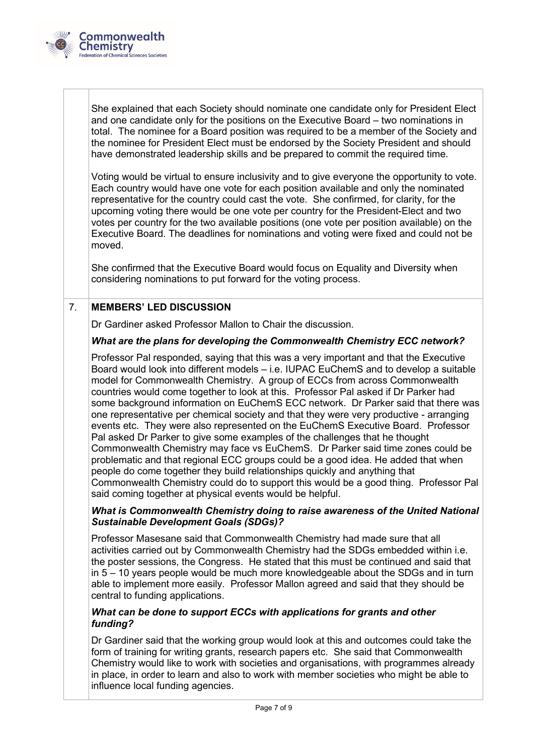

She explained that each Society should nominate one candidate only for President Elect and one candidate only for the positions on the Executive Board – two nominations in total. The nominee for a Board position was required to be a member of the Society and the nominee for President Elect must be endorsed by the Society President and should have demonstrated leadership skills and be prepared to commit the required time.

Voting would be virtual to ensure inclusivity and to give everyone the opportunity to vote. Each country would have one vote for each position available and only the nominated representative for the country could cast the vote. She confirmed, for clarity, for the upcoming voting there would be one vote per country for the President-Elect and two votes per country for the two available positions (one vote per position available) on the Executive Board. The deadlines for nominations and voting were fixed and could not be moved.

She confirmed that the Executive Board would focus on Equality and Diversity when considering nominations to put forward for the voting process.

## 7. **MEMBERS' LED DISCUSSION**

Dr Gardiner asked Professor Mallon to Chair the discussion.

#### *What are the plans for developing the Commonwealth Chemistry ECC network?*

Professor Pal responded, saying that this was a very important and that the Executive Board would look into different models – i.e. IUPAC EuChemS and to develop a suitable model for Commonwealth Chemistry. A group of ECCs from across Commonwealth countries would come together to look at this. Professor Pal asked if Dr Parker had some background information on EuChemS ECC network. Dr Parker said that there was one representative per chemical society and that they were very productive - arranging events etc. They were also represented on the EuChemS Executive Board. Professor Pal asked Dr Parker to give some examples of the challenges that he thought Commonwealth Chemistry may face vs EuChemS. Dr Parker said time zones could be problematic and that regional ECC groups could be a good idea. He added that when people do come together they build relationships quickly and anything that Commonwealth Chemistry could do to support this would be a good thing. Professor Pal said coming together at physical events would be helpful.

#### *What is Commonwealth Chemistry doing to raise awareness of the United National Sustainable Development Goals (SDGs)?*

Professor Masesane said that Commonwealth Chemistry had made sure that all activities carried out by Commonwealth Chemistry had the SDGs embedded within i.e. the poster sessions, the Congress. He stated that this must be continued and said that in 5 – 10 years people would be much more knowledgeable about the SDGs and in turn able to implement more easily. Professor Mallon agreed and said that they should be central to funding applications.

#### *What can be done to support ECCs with applications for grants and other funding?*

Dr Gardiner said that the working group would look at this and outcomes could take the form of training for writing grants, research papers etc. She said that Commonwealth Chemistry would like to work with societies and organisations, with programmes already in place, in order to learn and also to work with member societies who might be able to influence local funding agencies.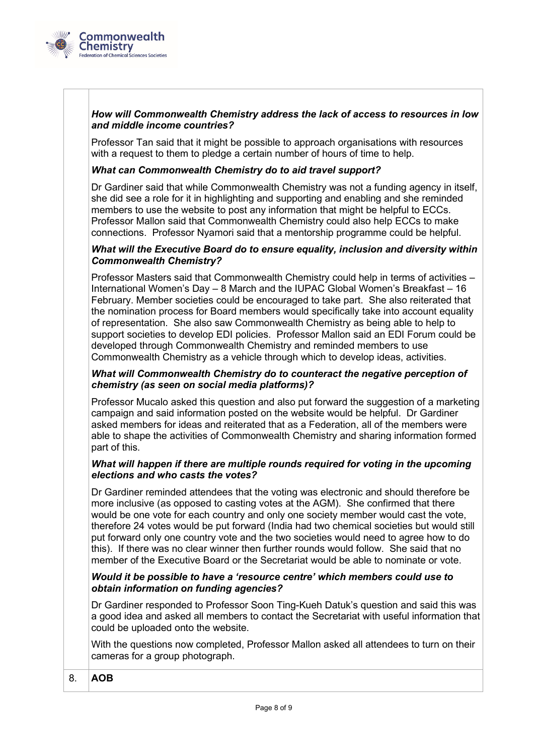

#### *How will Commonwealth Chemistry address the lack of access to resources in low and middle income countries?*

Professor Tan said that it might be possible to approach organisations with resources with a request to them to pledge a certain number of hours of time to help.

#### *What can Commonwealth Chemistry do to aid travel support?*

Dr Gardiner said that while Commonwealth Chemistry was not a funding agency in itself, she did see a role for it in highlighting and supporting and enabling and she reminded members to use the website to post any information that might be helpful to ECCs. Professor Mallon said that Commonwealth Chemistry could also help ECCs to make connections. Professor Nyamori said that a mentorship programme could be helpful.

#### *What will the Executive Board do to ensure equality, inclusion and diversity within Commonwealth Chemistry?*

Professor Masters said that Commonwealth Chemistry could help in terms of activities – International Women's Day – 8 March and the IUPAC Global Women's Breakfast – 16 February. Member societies could be encouraged to take part. She also reiterated that the nomination process for Board members would specifically take into account equality of representation. She also saw Commonwealth Chemistry as being able to help to support societies to develop EDI policies. Professor Mallon said an EDI Forum could be developed through Commonwealth Chemistry and reminded members to use Commonwealth Chemistry as a vehicle through which to develop ideas, activities.

#### *What will Commonwealth Chemistry do to counteract the negative perception of chemistry (as seen on social media platforms)?*

Professor Mucalo asked this question and also put forward the suggestion of a marketing campaign and said information posted on the website would be helpful. Dr Gardiner asked members for ideas and reiterated that as a Federation, all of the members were able to shape the activities of Commonwealth Chemistry and sharing information formed part of this.

#### *What will happen if there are multiple rounds required for voting in the upcoming elections and who casts the votes?*

Dr Gardiner reminded attendees that the voting was electronic and should therefore be more inclusive (as opposed to casting votes at the AGM). She confirmed that there would be one vote for each country and only one society member would cast the vote, therefore 24 votes would be put forward (India had two chemical societies but would still put forward only one country vote and the two societies would need to agree how to do this). If there was no clear winner then further rounds would follow. She said that no member of the Executive Board or the Secretariat would be able to nominate or vote.

#### *Would it be possible to have a 'resource centre' which members could use to obtain information on funding agencies?*

Dr Gardiner responded to Professor Soon Ting-Kueh Datuk's question and said this was a good idea and asked all members to contact the Secretariat with useful information that could be uploaded onto the website.

With the questions now completed, Professor Mallon asked all attendees to turn on their cameras for a group photograph.

#### 8. **AOB**